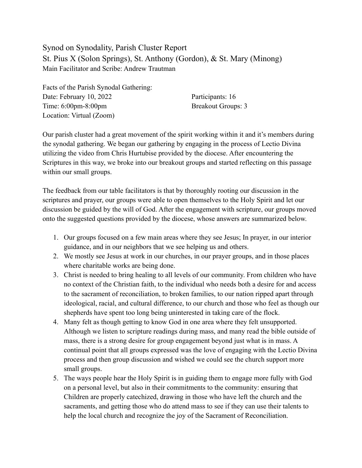Synod on Synodality, Parish Cluster Report St. Pius X (Solon Springs), St. Anthony (Gordon), & St. Mary (Minong) Main Facilitator and Scribe: Andrew Trautman

Facts of the Parish Synodal Gathering: Date: February 10, 2022 Participants: 16 Time: 6:00pm-8:00pm Breakout Groups: 3 Location: Virtual (Zoom)

Our parish cluster had a great movement of the spirit working within it and it's members during the synodal gathering. We began our gathering by engaging in the process of Lectio Divina utilizing the video from Chris Hurtubise provided by the diocese. After encountering the Scriptures in this way, we broke into our breakout groups and started reflecting on this passage within our small groups.

The feedback from our table facilitators is that by thoroughly rooting our discussion in the scriptures and prayer, our groups were able to open themselves to the Holy Spirit and let our discussion be guided by the will of God. After the engagement with scripture, our groups moved onto the suggested questions provided by the diocese, whose answers are summarized below.

- 1. Our groups focused on a few main areas where they see Jesus; In prayer, in our interior guidance, and in our neighbors that we see helping us and others.
- 2. We mostly see Jesus at work in our churches, in our prayer groups, and in those places where charitable works are being done.
- 3. Christ is needed to bring healing to all levels of our community. From children who have no context of the Christian faith, to the individual who needs both a desire for and access to the sacrament of reconciliation, to broken families, to our nation ripped apart through ideological, racial, and cultural difference, to our church and those who feel as though our shepherds have spent too long being uninterested in taking care of the flock.
- 4. Many felt as though getting to know God in one area where they felt unsupported. Although we listen to scripture readings during mass, and many read the bible outside of mass, there is a strong desire for group engagement beyond just what is in mass. A continual point that all groups expressed was the love of engaging with the Lectio Divina process and then group discussion and wished we could see the church support more small groups.
- 5. The ways people hear the Holy Spirit is in guiding them to engage more fully with God on a personal level, but also in their commitments to the community: ensuring that Children are properly catechized, drawing in those who have left the church and the sacraments, and getting those who do attend mass to see if they can use their talents to help the local church and recognize the joy of the Sacrament of Reconciliation.